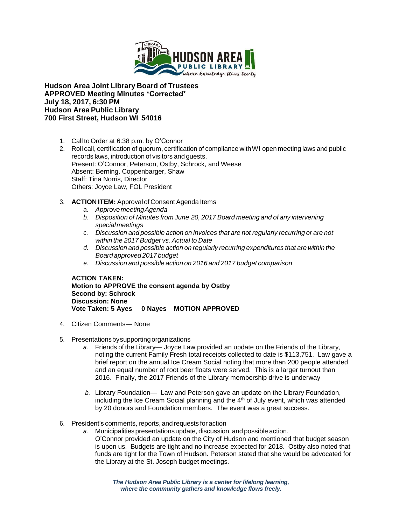

**Hudson Area Joint Library Board of Trustees APPROVED Meeting Minutes \*Corrected\* July 18, 2017, 6:30 PM Hudson Area Public Library 700 First Street, Hudson WI 54016**

- 1. Call to Order at 6:38 p.m. by O'Connor
- 2. Roll call, certification of quorum, certification of compliance with WI open meeting laws and public records laws, introduction of visitors and guests. Present: O'Connor, Peterson, Ostby, Schrock, and Weese Absent: Berning, Coppenbarger, Shaw Staff: Tina Norris, Director Others: Joyce Law, FOL President
- 3. **ACTION ITEM:** Approval of Consent Agenda Items
	- *a. ApprovemeetingAgenda*
	- *b. Disposition of Minutes from June 20, 2017 Board meeting and of any intervening special meetings*
	- *c. Discussion and possible action on invoices that are not regularly recurring or are not within the 2017 Budget vs. Actual to Date*
	- *d. Discussion and possible action on regularly recurring expenditures that are within the Board approved 2017 budget*
	- *e. Discussion and possible action on 2016 and 2017 budget comparison*

**ACTION TAKEN: Motion to APPROVE the consent agenda by Ostby Second by: Schrock Discussion: None Vote Taken: 5 Ayes 0 Nayes MOTION APPROVED**

- 4. Citizen Comments— None
- 5. Presentationsbysupportingorganizations
	- *a.* Friends of the Library— Joyce Law provided an update on the Friends of the Library, noting the current Family Fresh total receipts collected to date is \$113,751. Law gave a brief report on the annual Ice Cream Social noting that more than 200 people attended and an equal number of root beer floats were served. This is a larger turnout than 2016. Finally, the 2017 Friends of the Library membership drive is underway
	- *b.* Library Foundation— Law and Peterson gave an update on the Library Foundation, including the Ice Cream Social planning and the  $4<sup>th</sup>$  of July event, which was attended by 20 donors and Foundation members. The event was a great success.
- 6. President's comments,reports, and requests for action
	- *a.* Municipalitiespresentationsupdate, discussion, and possible action. O'Connor provided an update on the City of Hudson and mentioned that budget season is upon us. Budgets are tight and no increase expected for 2018. Ostby also noted that funds are tight for the Town of Hudson. Peterson stated that she would be advocated for the Library at the St. Joseph budget meetings.

*The Hudson Area Public Library is a center for lifelong learning, where the community gathers and knowledge flows freely.*